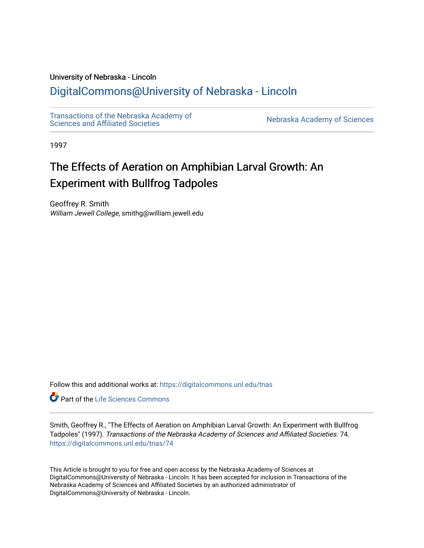# University of Nebraska - Lincoln

# [DigitalCommons@University of Nebraska - Lincoln](https://digitalcommons.unl.edu/)

[Transactions of the Nebraska Academy of](https://digitalcommons.unl.edu/tnas)  Transactions of the Nebraska Academy of Sciences<br>Sciences and Affiliated Societies

1997

# The Effects of Aeration on Amphibian Larval Growth: An Experiment with Bullfrog Tadpoles

Geoffrey R. Smith William Jewell College, smithg@william.jewell.edu

Follow this and additional works at: [https://digitalcommons.unl.edu/tnas](https://digitalcommons.unl.edu/tnas?utm_source=digitalcommons.unl.edu%2Ftnas%2F74&utm_medium=PDF&utm_campaign=PDFCoverPages) 

Part of the [Life Sciences Commons](http://network.bepress.com/hgg/discipline/1016?utm_source=digitalcommons.unl.edu%2Ftnas%2F74&utm_medium=PDF&utm_campaign=PDFCoverPages) 

Smith, Geoffrey R., "The Effects of Aeration on Amphibian Larval Growth: An Experiment with Bullfrog Tadpoles" (1997). Transactions of the Nebraska Academy of Sciences and Affiliated Societies. 74. [https://digitalcommons.unl.edu/tnas/74](https://digitalcommons.unl.edu/tnas/74?utm_source=digitalcommons.unl.edu%2Ftnas%2F74&utm_medium=PDF&utm_campaign=PDFCoverPages)

This Article is brought to you for free and open access by the Nebraska Academy of Sciences at DigitalCommons@University of Nebraska - Lincoln. It has been accepted for inclusion in Transactions of the Nebraska Academy of Sciences and Affiliated Societies by an authorized administrator of DigitalCommons@University of Nebraska - Lincoln.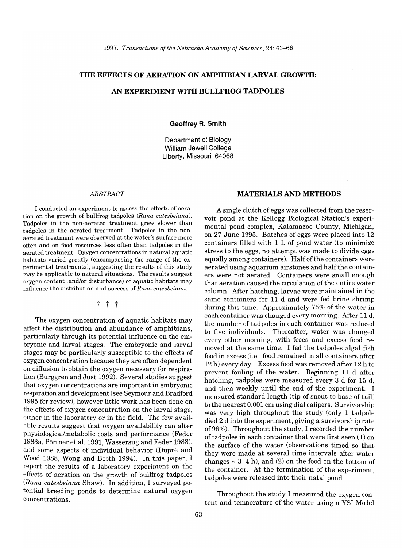#### **THE EFFECTS OF AERATION ON AMPHIBIAN LARVAL GROWTH:**

# AN **EXPERIMENT WITH BULLFROG TADPOLES**

**Geoffrey R. Smith** 

Department of Biology William Jewell College Liberty, Missouri 64068

#### *ABSTRACT*

I conducted an experiment to assess the effects of aeration on the growth of bullfrog tadpoles *(Rana catesbeiana).*  Tadpoles in the non-aerated treatment grew slower than tadpoles in the aerated treatment. Tadpoles in the nonaerated treatment were observed at the water's surface more often and on food resources less often than tadpoles in the aerated treatment. Oxygen concentrations in natural aquatic habitats varied greatly (encompassing the range of the experimental treatments), suggesting the results of this study may be applicable to natural situations. The results suggest oxygen content (and/or disturbance) of aquatic habitats may influence the distribution and success of *Rana catesbeiana.* 

# t t t

The oxygen concentration of aquatic habitats may affect the distribution and abundance of amphibians, particularly through its potential influence on the embryonic and larval stages. The embryonic and larval stages may be particularly susceptible to the effects of oxygen concentration because they are often dependent on diffusion to obtain the oxygen necessary for respiration (Burggren and Just 1992). Several studies suggest that oxygen concentrations are important in embryonic respiration and development (see Seymour and Bradford 1995 for review), however little work has been done on the effects of oxygen concentration on the larval stage, either in the laboratory or in the field. The few available results suggest that oxygen availability can alter physiological/metabolic costs and performance (Feder 1983a, Portner et al. 1991, Wassersug and Feder 1983), and some aspects of individual behavior (Dupré and Wood 1988, Wong and Booth 1994). In this paper, I report the results of a laboratory experiment on the effects of aeration on the growth of bullfrog tadpoles *(Rana catesbeiana* Shaw). In addition, I surveyed potential breeding ponds to determine natural oxygen concentrations.

# **MATERIALS AND METHODS**

A single clutch of eggs was collected from the reservoir pond at the Kellogg Biological Station's experimental pond complex, Kalamazoo County, Michigan, on 27 June 1995. Batches of eggs were placed into 12 containers filled with 1 L of pond water (to minimize stress to the eggs, no attempt was made to divide eggs equally among containers). Half of the containers were aerated using aquarium airstones and half the containers were not aerated. Containers were small enough that aeration caused the circulation of the entire water column. After hatching, larvae were maintained in the same containers for 11 d and were fed brine shrimp during this time. Approximately 75% of the water in each container was changed every morning. After 11 d, the number of tadpoles in each container was reduced to five individuals. Thereafter, water was changed every other morning, with feces and excess food removed at the same time. I fed the tadpoles algal fish food in excess (i.e., food remained in all containers after 12 h) every day. Excess food was removed after 12 h to prevent fouling of the water. Beginning 11 d after hatching, tadpoles were measured every 3 d for 15 d, and then weekly until the end of the experiment. I measured standard length (tip of snout to base of tail) to the nearest 0.001 cm using dial calipers. Survivorship was very high throughout the study (only 1 tadpole died 2 d into the experiment, giving a survivorship rate of98%). Throughout the study, I recorded the number of tadpoles in each container that were first seen (1) on the surface of the water (observations timed so that they were made at several time intervals after water changes  $\sim$  3–4 h), and (2) on the food on the bottom of the container. At the termination of the experiment, tadpoles were released into their natal pond.

Throughout the study I measured the oxygen content and temperature of the water using a YSI Model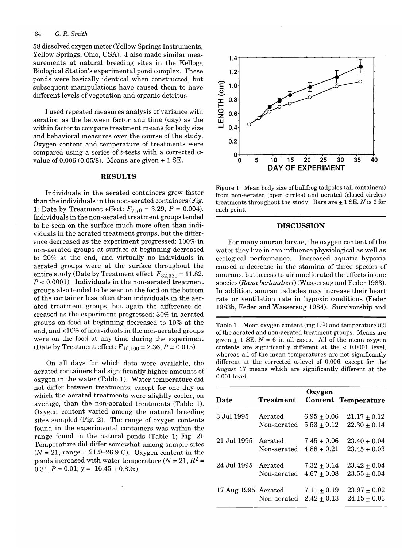58 dissolved oxygen meter (Yellow Springs Instruments, Yellow Springs, Ohio, USA). 1 also made similar measurements at natural breeding sites in the Kellogg Biological Station's experimental pond complex. These ponds were basically identical when constructed, but subsequent manipulations have caused them to have different levels of vegetation and organic detritus.

I used repeated measures analysis of variance with aeration as the between factor and time (day) as the within factor to compare treatment means for body size and behavioral measures over the course of the study. Oxygen content and temperature of treatments were compared using a series of *t*-tests with a corrected  $\alpha$ value of 0.006 *(0.05/8).* Means are given ± 1 SE.

### RESULTS

Individuals in the aerated containers grew faster than the individuals in the non-aerated containers (Fig. 1; Date by Treatment effect:  $F_{7,70} = 3.29, P = 0.004$ . Individuals in the non-aerated treatment groups tended to be seen on the surface much more often than individuals in the aerated treatment groups, but the difference decreased as the experiment progressed: 100% in non-aerated groups at surface at beginning decreased to 20% at the end, and virtually no individuals in aerated groups were at the surface throughout the entire study (Date by Treatment effect: *F32,320* = 11.82, *P* < 0.0001). Individuals in the non-aerated treatment groups also tended to be seen on the food on the bottom of the container less often than individuals in the aerated treatment groups, but again the difference decreased as the experiment progressed: 30% in aerated groups on food at beginning decreased to 10% at the end, and <10% of individuals in the non-aerated groups were on the food at any time during the experiment (Date by Treatment effect:  $F_{10,100} = 2.36, P = 0.015$ ).

On all days for which data were available, the aerated containers had significantly higher amounts of oxygen in the water (Table 1). Water temperature did not differ between treatments, except for one day on which the aerated treatments were slightly cooler, on average, than the non-aerated treatments (Table 1). Oxygen content varied among the natural breeding sites sampled (Fig. 2). The range of oxygen contents found in the experimental containers was within the range found in the natural ponds (Table 1; Fig. 2). Temperature did differ somewhat among sample sites  $(N = 21; \text{ range} = 21.9 - 26.9 \text{ C})$ . Oxygen content in the ponds increased with water temperature  $(N = 21, R^2 =$ 0.31,  $P = 0.01$ ;  $y = -16.45 + 0.82x$ .



Figure 1. Mean body size of bullfrog tadpoles (all containers) from non-aerated (open circles) and aerated (closed circles) treatments throughout the study. Bars are  $\pm$  1 SE, *N* is 6 for each point.

#### DISCUSSION

For many anuran larvae, the oxygen content of the water they live in can influence physiological as well as ecological performance. Increased aquatic hypoxia caused a decrease in' the stamina of three species of anurans, but access to air ameliorated the effects in one species *(Rana berlandieri)* (Wassersug and Feder 1983). In addition, anuran tadpoles may increase their heart rate or ventilation rate in hypoxic conditions (Feder 1983b, Feder and Wassersug 1984). Survivorship and

Table 1. Mean oxygen content (mg  $L^{-1}$ ) and temperature (C) of the aerated and non-aerated treatment groups. Means are given  $\pm$  1 SE, N = 6 in all cases. All of the mean oxygen contents are significantly different at the < 0.0001 level, whereas all of the mean temperatures are not significantly different at the corrected  $\alpha$ -level of 0.006, except for the August 17 means which are significantly different at the 0.001 level.

| Date                | <b>Treatment</b> | Oxygen                             | <b>Content Temperature</b>           |
|---------------------|------------------|------------------------------------|--------------------------------------|
| 3 Jul 1995          | Aerated          | $6.95 \pm 0.06$                    | $21.17 + 0.12$                       |
|                     | Non-aerated      | $5.53 \pm 0.12$                    | $22.30 \pm 0.14$                     |
| 21 Jul 1995         | Aerated          | $7.45 \pm 0.06$                    | $23.40 \pm 0.04$                     |
|                     | Non-aerated      | $4.88 + 0.21$                      | $23.45 + 0.03$                       |
| 24 Jul 1995         | Aerated          | $7.32 \pm 0.14$                    | $23.42 + 0.04$                       |
|                     | Non-aerated      | $4.67 + 0.08$                      | $23.55 \pm 0.04$                     |
| 17 Aug 1995 Aerated | Non-aerated      | $7.11 \pm 0.19$<br>$2.42 \pm 0.13$ | $23.97 \pm 0.02$<br>$24.15 \pm 0.03$ |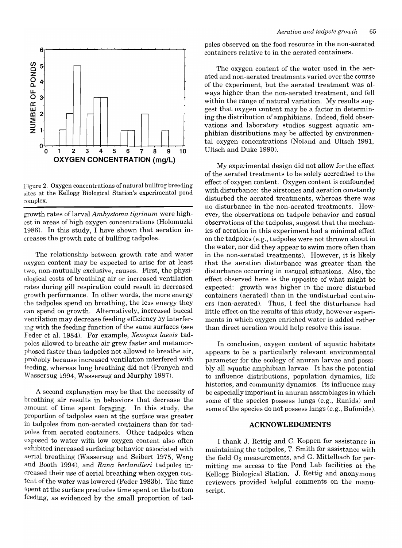

Figure 2. Oxygen concentrations of natural bullfrog breeding sites at the Kellogg Biological Station's experimental pond complex.

growth rates of larval *Ambystoma tigrinum* were highest in areas of high oxygen concentrations (Holomuzki 1986). In this study, I have shown that aeration increases the growth rate of bullfrog tadpoles.

The relationship between growth rate and water oxygen content may be expected to arise for at least two, non-mutually exclusive, causes. First, the physiological costs of breathing air or increased ventilation rates during gill respiration could result in decreased growth performance. In other words, the more energy the tadpoles spend on breathing, the less energy they can spend on growth. Alternatively, increased buccal ventilation may decrease feeding efficiency by interfering with the feeding function of the same surfaces (see Feder et al. 1984). For example, *Xenopus laeuis* tadpoles allowed to breathe air grew faster and metamorphosed faster than tadpoles not allowed to breathe air, probably because increased ventilation interfered with feeding, whereas lung breathing did not (Pronych and Wassersug 1994, Wassersug and Murphy 1987).

A second explanation may be that the necessity of breathing air results in behaviors that decrease the amount of time spent foraging. In this study, the proportion of tadpoles seen at the surface was greater in tadpoles from non-aerated containers than for tadpoles from aerated containers. Other tadpoles when exposed to water with low oxygen content also often exhibited increased surfacing behavior associated with aerial breathing (Wassersug and Seibert 1975, Wong and Booth 1994), and *Rana berlandieri* tadpoles increased their use of aerial breathing when oxygen content of the water was lowered (Feder 1983b). The time spent at the surface precludes time spent on the bottom feeding, as evidenced by the small proportion of tadpoles observed on the food resource in the non-aerated containers relative to in the aerated containers.

The oxygen content of the water used in the aerated and non-aerated treatments varied over the course of the experiment, but the aerated treatment was always higher than the non-aerated treatment, and fell within the range of natural variation. My results suggest that oxygen content may be a factor in determining the distribution of amphibians. Indeed, field observations and laboratory studies suggest aquatic amphibian distributions may be affected by environmental oxygen concentrations (Noland and Dltsch 1981, Dltsch and Duke 1990).

My experimental design did not allow for the effect of the aerated treatments to be solely accredited to the effect of oxygen content. Oxygen content is confounded with disturbance: the airstones and aeration constantly disturbed the aerated treatments, whereas there was no disturbance in the non-aerated treatments. However, the observations on tadpole behavior and casual observations of the tadpoles, suggest that the mechanics of aeration in this experiment had a minimal effect on the tadpoles (e.g., tadpoles were not thrown about in the water, nor did they appear to swim more often than in the non-aerated treatments). However, it is likely that the aeration disturbance was greater than the disturbance occurring in natural situations. Also, the effect observed here is the opposite of what might be expected: growth was higher in the more disturbed containers (aerated) than in the undisturbed containers (non-aerated). Thus, I feel the disturbance had little effect on the results of this study, however experiments in which oxygen enriched water is added rather than direct aeration would help resolve this issue.

In conclusion, oxygen content of aquatic habitats appears to be a particularly relevant environmental parameter for the ecology of anuran larvae and possibly all aquatic amphibian larvae. It has the potential to influence distributions, population dynamics, life histories, and community dynamics. Its influence may be especially important in anuran assemblages in which some of the species possess lungs (e.g., Ranids) and some of the species do not possess lungs (e.g., Bufonids).

#### **ACKNOWLEDGMENTS**

I thank J. Rettig and C. Koppen for assistance in maintaining the tadpoles, T. Smith for assistance with the field  $O_2$  measurements, and G. Mittelbach for permitting me access to the Pond Lab facilities at the Kellogg Biological Station. J. Rettig and anonymous reviewers provided helpful comments on the manuscript.